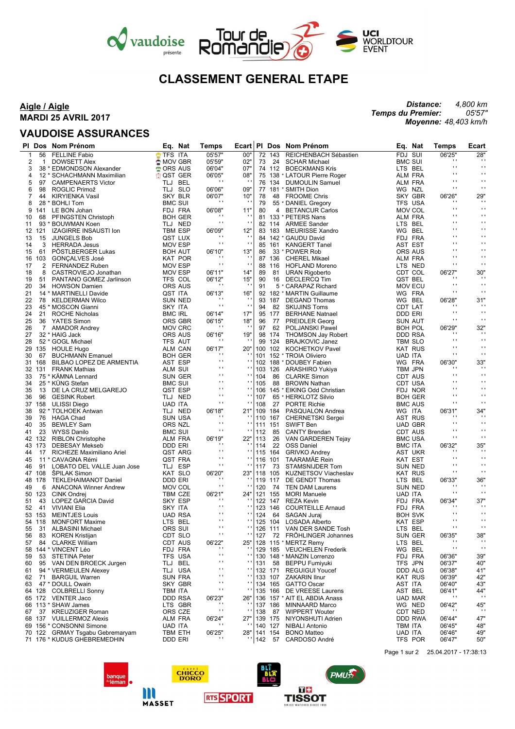

# **CLASSEMENT GENERAL ETAPE**

### **Aigle / Aigle MARDI 25 AVRIL 2017**

### **VAUDOISE ASSURANCES**

*Distance: Temps du Premier: Moyenne: 48,403 km/h 4,800 km 05'57"*

|              |                | PI Dos Nom Prénom            | Eq. Nat            | Temps              | Ecart                    |     |                | PI Dos Nom Prénom              |                | Eq. Nat            | <b>Temps</b>             | Ecart           |
|--------------|----------------|------------------------------|--------------------|--------------------|--------------------------|-----|----------------|--------------------------------|----------------|--------------------|--------------------------|-----------------|
| $\mathbf{1}$ | 56             | <b>FELLINE Fabio</b>         | TFS ITA            | 05'57"             | 00"                      |     | 72 143         | REICHENBACH Sébastien          | FDJ SUI        |                    | 06'25"                   | 28"             |
| 2            | 1              | DOWSETT Alex                 | $\bigcirc$ MOV GBR | 05'59"             | 02"                      | 73  | 24             | <b>SCHAR Michael</b>           | <b>BMC SUI</b> |                    | $\mathbf{r}$             | $\cdot$         |
| 3            |                | 38 * EDMONDSON Alexander     | <b>CORS AUS</b>    | 06'04"             | 07"                      |     |                | 74 112 BOECKMANS Kris          |                | LTS BEL            | $\mathbf{r}$             | $\bullet$       |
| 4            |                | 12 * SCHACHMANN Maximilian   | <b>OST GER</b>     | 06'05"             | 08'                      |     |                | 75 138 * LATOUR Pierre Roger   |                | ALM FRA            | $\blacksquare$           | $\bullet$       |
|              |                |                              |                    | $\cdot$            | J.                       |     |                |                                |                |                    | $\mathbf{r}$             | $\mathbf{r}$    |
| 5            | 97             | <b>CAMPENAERTS Victor</b>    | TLJ BEL            |                    |                          |     |                | 76 134 DUMOULIN Samuel         |                | <b>ALM FRA</b>     | $\mathbf{r}$             | $\bullet$       |
| 6            | 98             | ROGLIC Primož                | TLJ SLO            | 06'06"             | 09"                      |     |                | 77 181 * SMITH Dion            |                | WG NZL             |                          |                 |
| 7            | 44             | KIRYIENKA Vasil              | SKY BLR            | 06'07"             | 10"                      | 78  |                | 48 FROOME Chris                |                | <b>SKY GBR</b>     | 06'26"                   | 29"             |
| 8            |                | 28 * BOHLI Tom               | <b>BMC SUI</b>     | $\cdots$           | J.                       | 79  |                | 55 * DANIEL Gregory            |                | TFS USA            | $\blacksquare$           | $\cdots$        |
| 9            | 141            | LE BON Johan                 | FDJ FRA            | 06'08"             | 11"                      | 80  | $\overline{4}$ | <b>BETANCUR Carlos</b>         |                | MOV COL            | $\blacksquare$           | $\bullet$       |
| 10           | 68             | <b>PFINGSTEN Christoph</b>   | <b>BOH GER</b>     | $\blacksquare$     |                          |     |                | 81 133 * PETERS Nans           |                | ALM FRA            | $\mathbf{r}$             | $\cdot$ .       |
| 11           |                | 93 * BOUWMAN Koen            | TLJ NED            | $\mathbf{r}$       | $\cdot$ .                |     |                | 82 114 ARMEE Sander            |                | LTS BEL            | $\mathbf{r}$             | $\mathbf{r}$    |
| 12           | 121            | <b>IZAGIRRE INSAUSTI Ion</b> | <b>TBM ESP</b>     | 06'09"             | 12"                      |     |                | 83 183 MEURISSE Xandro         |                | WG BEL             | $\mathbf{r}$             | $\cdot$ .       |
| 13           | 15             | <b>JUNGELS Bob</b>           | QST LUX            | $\blacksquare$     | $\mathbf{L}$             |     |                | 84 142 * GAUDU David           |                | FDJ FRA            | $\mathbf{r}$             | $\cdot$ .       |
| 14           | 3              | <b>HERRADA Jesus</b>         | <b>MOV ESP</b>     | $\mathbf{r}$       | $\cdot$ .                |     |                | 85 161 KANGERT Tanel           |                | AST EST            | $\mathbf{r}$             | $\mathbf{r}$    |
| 15           | 61             | PÖSTLBERGER Lukas            | <b>BOH AUT</b>     | 06'10"             | 13"                      | 86  |                | 33 * POWER Rob                 |                | <b>ORS AUS</b>     | $\mathbf{r}$             | $\mathbf{r}$    |
| 16           | 103            |                              | KAT POR            | $\blacksquare$     | $\overline{\phantom{a}}$ |     |                | 87 136 CHEREL Mikael           |                |                    | $\blacksquare$           | $\mathbf{r}$    |
|              |                | GONÇALVES José               |                    | $\mathbf{r}$       | $\cdot$ .                |     |                |                                |                | ALM FRA<br>LTS NED | $\mathbf{r}$             | $\mathbf{r}$    |
| 17           | 2              | FERNANDEZ Ruben              | <b>MOV ESP</b>     |                    |                          |     | 88 116         | HOFLAND Moreno                 |                |                    |                          |                 |
| 18           | 8              | CASTROVIEJO Jonathan         | <b>MOV ESP</b>     | 06'11"             | 14"                      | 89  |                | 81 URAN Rigoberto              |                | CDT COL            | 06'27"<br>$\blacksquare$ | 30"<br>$\cdots$ |
| 19           | 51             | PANTANO GOMEZ Jarlinson      | TFS COL            | 06'12"             | 15"                      | 90  |                | 16 DECLERCQ Tim                |                | QST BEL            |                          |                 |
| 20           | 34             | <b>HOWSON Damien</b>         | ORS AUS            | $\cdots$           | $\cdot$ $\cdot$          | 91  |                | 5 * CARAPAZ Richard            |                | <b>MOV ECU</b>     | $\mathbf{r}$             | $\mathbf{r}$    |
| 21           |                | 14 * MARTINELLI Davide       | QST ITA            | 06'13"             | 16"                      |     |                | 92 182 * MARTIN Guillaume      |                | WG FRA             | $\mathbf{r}$             | $\cdot$         |
| 22           | 78             | KELDERMAN Wilco              | SUN NED            | $\blacksquare$     | $\overline{\phantom{a}}$ |     |                | 93 187 DEGAND Thomas           |                | WG BEL             | 06'28"                   | 31"             |
| 23           |                | 45 * MOSCON Gianni           | SKY ITA            | $\mathbf{r}$ .     | $\cdot$ .                | 94  |                | 82 SKUJINS Toms                |                | CDT LAT            | $\blacksquare$           | $\cdots$        |
| 24           | 21             | ROCHE Nicholas               | <b>BMC IRL</b>     | 06'14"             | 17"                      |     |                | 95 177 BERHANE Natnael         | DDD ERI        |                    | $\cdot$ .                | $\cdots$        |
| 25           | 36             | YATES Simon                  | ORS GBR            | 06'15"             | 18"                      | 96  |                | 77 PREIDLER Georg              |                | SUN AUT            | $\blacksquare$           | $\mathbf{r}$    |
| 26           | $\overline{7}$ | <b>AMADOR Andrey</b>         | <b>MOV CRC</b>     | $\cdot$            | $\blacksquare$           | 97  | 62             | POLJANSKI Pawel                |                | <b>BOH POL</b>     | 06'29"                   | 32"             |
| 27           |                | 32 * HAIG Jack               | ORS AUS            | 06'16"             | 19"                      |     |                | 98 174 THOMSON Jay Robert      |                | <b>DDD RSA</b>     | $\cdots$                 | $\cdots$        |
|              |                |                              |                    | $\blacksquare$     |                          |     |                |                                |                |                    | $\cdot$ .                | $\mathbf{r}$    |
| 28           |                | 52 * GOGL Michael            | TFS AUT            |                    |                          |     | 99 124         | <b>BRAJKOVIC Janez</b>         |                | TBM SLO            | $\mathbf{r}$             | $\mathbf{r}$    |
| 29           | 135            | <b>HOULE Hugo</b>            | <b>ALM CAN</b>     | 06'17"<br>$\cdots$ | 20"                      |     |                | 100 102 KOCHETKOV Pavel        |                | <b>KAT RUS</b>     | $\mathbf{r}$             | $\cdot$         |
| 30           | 67             | <b>BUCHMANN Emanuel</b>      | <b>BOH GER</b>     |                    |                          |     |                | 101 152 * TROIA Oliviero       | <b>UAD ITA</b> |                    |                          |                 |
| 31           | 168            | BILBAO LOPEZ DE ARMENTIA     | AST ESP            | $\mathbf{r}$       | $\blacksquare$           |     |                | 102 188 * DOUBEY Fabien        |                | WG FRA             | 06'30"                   | 33"             |
|              | 32 131         | <b>FRANK Mathias</b>         | ALM SUI            | $\mathbf{r}$       | $\mathbf{r}$ .           | 103 |                | 126 ARASHIRO Yukiya            |                | <b>TBM JPN</b>     | $\mathbf{r}$             | $\cdots$        |
| 33           |                | 75 * KÄMNA Lennard           | <b>SUN GER</b>     | $\cdots$           | $\blacksquare$           | 104 |                | 86 CLARKE Simon                |                | CDT AUS            | $\cdot$ .                | $\cdots$        |
| 34           |                | 25 * KÜNG Stefan             | <b>BMC SUI</b>     | $\mathbf{r}$       | $\mathbf{r}$             | 105 |                | 88 BROWN Nathan                |                | CDT USA            | $\mathbf{r}$             | $\cdot$ .       |
| 35           | 13             | DE LA CRUZ MELGAREJO         | QST ESP            | $\mathbf{r}$       | $\mathbf{r}$ .           |     |                | 106 145 * EIKING Odd Christian |                | FDJ NOR            | $\mathbf{r}$             | $\mathbf{r}$    |
| 36           | 96             | <b>GESINK Robert</b>         | TLJ NED            | $\cdots$           | $\mathbf{L}$             | 107 |                | 65 * HERKLOTZ Silvio           |                | <b>BOH GER</b>     | $\mathbf{r}$             | $\cdots$        |
| 37           | 158            | ULISSI Diego                 | <b>UAD ITA</b>     | $\mathbf{r}$       |                          | 108 |                | 27 PORTE Richie                |                | <b>BMC AUS</b>     | $\blacksquare$           | $\mathbf{r}$    |
| 38           |                | 92 * TOLHOEK Antwan          | TLJ NED            | 06'18"             | 21"                      |     |                | 109 184 PASQUALON Andrea       | WG ITA         |                    | 06'31"                   | 34"             |
|              | 76             |                              |                    | $\cdots$           |                          |     |                |                                |                |                    | $\cdots$                 | $\cdots$        |
| 39           |                | HAGA Chad                    | <b>SUN USA</b>     | $\mathbf{r}$       |                          |     |                | 110 167 CHERNETSKI Sergei      |                | AST RUS            | $\cdot$ .                | $\mathbf{r}$    |
| 40           | 35             | BEWLEY Sam                   | ORS NZL            | $\mathbf{r}$       | $\mathbf{r}$ .           |     | 111 151        | SWIFT Ben                      |                | <b>UAD GBR</b>     | $\mathbf{r}$             | $\mathbf{r}$    |
| 41           | 23             | WYSS Danilo                  | <b>BMC SUI</b>     |                    |                          | 112 | 85             | CANTY Brendan                  |                | CDT AUS            |                          |                 |
| 42           | 132            | <b>RIBLON Christophe</b>     | ALM FRA            | 06'19"             | 22"                      | 113 |                | 26 VAN GARDEREN Tejay          |                | <b>BMC USA</b>     | $\mathbf{r}$             | $\cdot$         |
|              | 43 173         | <b>DEBESAY Mekseb</b>        | DDD ERI            | $\cdots$           |                          | 114 | 22             | <b>OSS Daniel</b>              | <b>BMC ITA</b> |                    | 06'32"                   | 35"             |
| 44           | 17             | RICHEZE Maximiliano Ariel    | QST ARG            | $\mathbf{r}$       | $\mathbf{r}$ .           |     | 115 164        | <b>GRIVKO Andrey</b>           |                | AST UKR            | $\cdot$                  | $\cdots$        |
| 45           |                | 11 * CAVAGNA Rémi            | QST FRA            | $\cdots$           | $\mathbf{L}$             | 116 | 101            | TAARAMÄE Rein                  |                | KAT EST            | $\cdot$ .                | $\cdot$         |
| 46           | 91             | LOBATO DEL VALLE Juan Jose   | TLJ ESP            | $\blacksquare$     |                          | 117 | 73             | STAMSNIJDER Tom                |                | SUN NED            | $\blacksquare$           | $\mathbf{r}$    |
|              | 47 108         | <b>SPILAK Simon</b>          | KAT SLO            | 06'20"             | 23"                      |     | 118 105        | KUZNETSOV Viacheslav           |                | <b>KAT RUS</b>     | $\mathbf{r}$             | $\mathbf{r}$    |
|              | 48 178         | <b>TEKLEHAIMANOT Daniel</b>  | DDD ERI            | $\blacksquare$     | ٠                        |     |                | 119 117 DE GENDT Thomas        |                | LTS BEL            | 06'33"                   | 36"             |
| 49           | 6              | <b>ANACONA Winner Andrew</b> | <b>MOV COL</b>     | $\blacksquare$     |                          | 120 | 74             | TEN DAM Laurens                |                | <b>SUN NED</b>     | $\blacksquare$           |                 |
|              | 50 123         | CINK Ondrej                  | TBM CZE            | 06'21"             | 24"                      |     | 121 155        | <b>MORI Manuele</b>            | <b>UAD ITA</b> |                    | $\mathbf{r}$             | $\pm$           |
| 51           | 43             | LOPEZ GARCIA David           | SKY ESP            | $\cdots$           | ٠                        |     |                | 122 147 REZA Kevin             |                | FDJ FRA            | 06'34"                   | 37"             |
|              |                |                              |                    | $\mathbf{r}$       | $\blacksquare$           |     |                |                                |                |                    | $\mathbf{r}$             | $\cdots$        |
| 52           | 41             | VIVIANI Elia                 | SKY ITA            | $\mathbf{r}$       | $\mathbf{r}$ .           |     | 123 146        | <b>COURTEILLE Arnaud</b>       |                | FDJ FRA            | $\mathbf{r}$             | $\mathbf{r}$    |
|              | 53 153         | <b>MEINTJES Louis</b>        | <b>UAD RSA</b>     | $\mathbf{r}$       | $\blacksquare$           | 124 | 64             | SAGAN Juraj                    |                | <b>BOH SVK</b>     | $\mathbf{r}$             | $\cdots$        |
|              | 54 118         | <b>MONFORT Maxime</b>        | LTS BEL            | $\cdots$           |                          |     |                | 125 104 LOSADA Alberto         |                | <b>KAT ESP</b>     |                          |                 |
|              |                | 55 31 ALBASINI Michael       | ORS SUI            |                    | $\blacksquare$           |     |                | 126 111 VAN DER SANDE Tosh     | LTS BEL        |                    | $\mathbf{r}$             | $\cdots$        |
| 56           |                | 83 KOREN Kristijan           | CDT SLO            | $\mathbf{r}$       | $\blacksquare$           |     |                | 127 72 FRÖHLINGER Johannes     |                | SUN GER            | 06'35"                   | 38"             |
| 57           |                | 84 CLARKE William            | CDT AUS            | 06'22"             | 25"                      |     |                | 128 115 * MERTZ Remy           |                | LTS BEL            | $\cdot$                  | $\cdot$         |
| 58           |                | 144 * VINCENT Léo            | FDJ FRA            | $\blacksquare$     |                          |     | 129 185        | <b>VEUCHELEN Frederik</b>      |                | WG BEL             | $\cdot$                  | $\cdot$         |
| 59           |                | 53 STETINA Peter             | TFS USA            | $\mathbf{r}$       | $\mathbf{r}$ .           |     |                | 130 148 * MANZIN Lorrenzo      |                | FDJ FRA            | 06'36"                   | 39"             |
| 60           |                | 95 VAN DEN BROECK Jurgen     | TLJ BEL            | .,                 | $\blacksquare$           | 131 |                | 58 BEPPU Fumiyuki              |                | TFS JPN            | 06'37"                   | 40"             |
| 61           |                | 94 * VERMEULEN Alexey        | TLJ USA            | $\blacksquare$     | $\mathbf{r}$             |     |                | 132 171 REGUIGUI Youcef        |                | DDD ALG            | 06'38"                   | 41"             |
| 62           | 71             | <b>BARGUIL Warren</b>        | <b>SUN FRA</b>     | $\blacksquare$     | $\mathbf{r}$ .           |     | 133 107        | <b>ZAKARIN Ilnur</b>           |                | <b>KAT RUS</b>     | 06'39"                   | 42"             |
|              |                | 47 * DOULL Owain             | SKY GBR            | .,                 | $\blacksquare$           |     |                | 134 165 GATTO Oscar            |                |                    | 06'40"                   | 43"             |
| 63           |                |                              |                    | $\blacksquare$     | ٠                        |     |                |                                | AST ITA        |                    |                          |                 |
|              | 64 128         | COLBRELLI Sonny              | TBM ITA            |                    |                          |     |                | 135 166 DE VREESE Laurens      |                | AST BEL            | 06'41"<br>$\cdot$        | 44"<br>$\pm$    |
|              |                | 65 172 VENTER Jaco           | DDD RSA            | 06'23"             | 26"                      |     |                | 136 157 * AIT EL ABDIA Anass   |                | UAD MAR            |                          |                 |
|              |                | 66 113 * SHAW James          | LTS GBR            | $\cdot$            |                          |     | 137 186        | MINNAARD Marco                 |                | WG NED             | 06'42"                   | 45"             |
| 67           |                | 37 KREUZIGER Roman           | ORS CZE            | $\mathbf{r}$       | $\mathbf{r}$             | 138 | 87             | <b>WIPPERT Wouter</b>          |                | CDT NED            | $\cdot$                  | $\cdot$         |
|              |                | 68 137 VUILLERMOZ Alexis     | ALM FRA            | 06'24"             | 27"                      |     |                | 139 175 NIYONSHUTI Adrien      |                | DDD RWA            | 06'44"                   | 47"             |
|              |                | 69 156 * CONSONNI Simone     | <b>UAD ITA</b>     | $\cdot$            |                          |     | 140 127        | <b>NIBALI Antonio</b>          | TBM ITA        |                    | 06'45"                   | 48"             |
|              | 70 122         | GRMAY Tsgabu Gebremaryam     | TBM ETH            | 06'25"             | 28"                      |     | 141 154        | <b>BONO Matteo</b>             | UAD ITA        |                    | 06'46"                   | 49"             |
|              |                | 71 176 * KUDUS GHEBREMEDHIN  | DDD ERI            | $\cdot$            |                          | 142 | 57             | CARDOSO André                  |                | TFS POR            | 06'47"                   | 50"             |

Page 1 sur 2 25.04.2017 - 17:38:13